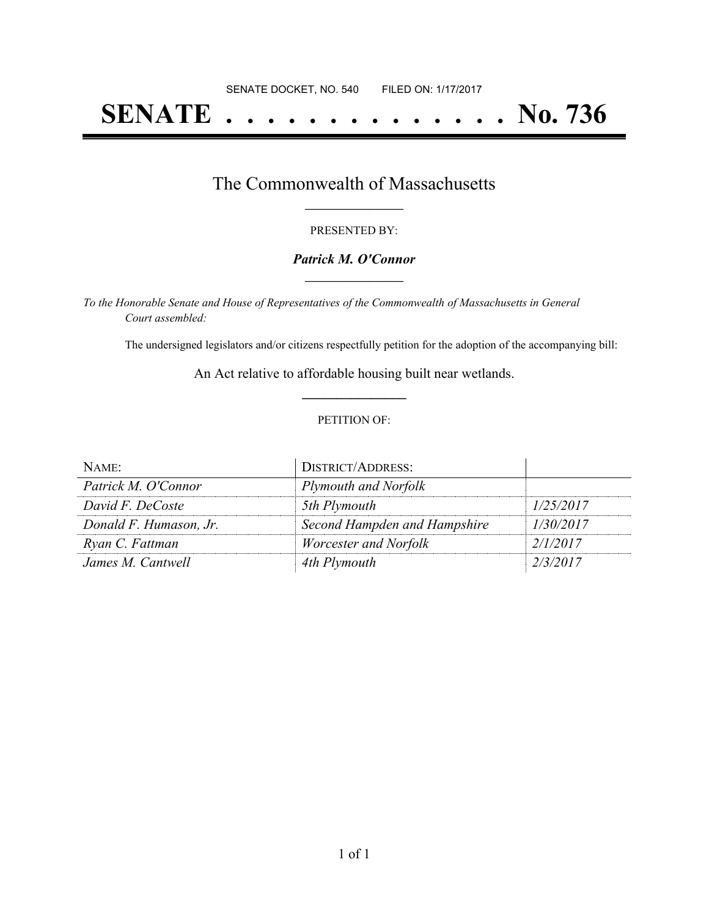# **SENATE . . . . . . . . . . . . . . No. 736**

### The Commonwealth of Massachusetts **\_\_\_\_\_\_\_\_\_\_\_\_\_\_\_\_\_**

#### PRESENTED BY:

#### *Patrick M. O'Connor* **\_\_\_\_\_\_\_\_\_\_\_\_\_\_\_\_\_**

*To the Honorable Senate and House of Representatives of the Commonwealth of Massachusetts in General Court assembled:*

The undersigned legislators and/or citizens respectfully petition for the adoption of the accompanying bill:

An Act relative to affordable housing built near wetlands. **\_\_\_\_\_\_\_\_\_\_\_\_\_\_\_**

#### PETITION OF:

| NAME:                  | <b>DISTRICT/ADDRESS:</b>     |           |
|------------------------|------------------------------|-----------|
| Patrick M. O'Connor    | Plymouth and Norfolk         |           |
| David F. DeCoste       | 5th Plymouth                 | 1/25/2017 |
| Donald F. Humason, Jr. | Second Hampden and Hampshire | 1/30/2017 |
| Ryan C. Fattman        | Worcester and Norfolk        | 2/1/2017  |
| James M. Cantwell      | 4th Plymouth                 | 2/3/2017  |